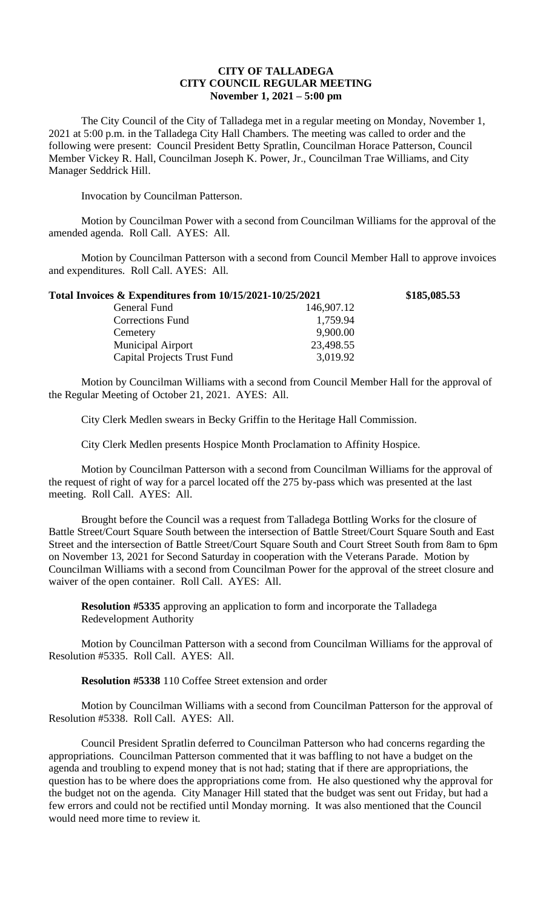## **CITY OF TALLADEGA CITY COUNCIL REGULAR MEETING November 1, 2021 – 5:00 pm**

The City Council of the City of Talladega met in a regular meeting on Monday, November 1, 2021 at 5:00 p.m. in the Talladega City Hall Chambers. The meeting was called to order and the following were present: Council President Betty Spratlin, Councilman Horace Patterson, Council Member Vickey R. Hall, Councilman Joseph K. Power, Jr., Councilman Trae Williams, and City Manager Seddrick Hill.

Invocation by Councilman Patterson.

Motion by Councilman Power with a second from Councilman Williams for the approval of the amended agenda. Roll Call. AYES: All.

Motion by Councilman Patterson with a second from Council Member Hall to approve invoices and expenditures. Roll Call. AYES: All.

| Total Invoices & Expenditures from 10/15/2021-10/25/2021 |            | \$185,085.53 |
|----------------------------------------------------------|------------|--------------|
| General Fund                                             | 146,907.12 |              |
| <b>Corrections Fund</b>                                  | 1,759.94   |              |
| Cemetery                                                 | 9,900.00   |              |
| <b>Municipal Airport</b>                                 | 23,498.55  |              |
| <b>Capital Projects Trust Fund</b>                       | 3,019.92   |              |

Motion by Councilman Williams with a second from Council Member Hall for the approval of the Regular Meeting of October 21, 2021. AYES: All.

City Clerk Medlen swears in Becky Griffin to the Heritage Hall Commission.

City Clerk Medlen presents Hospice Month Proclamation to Affinity Hospice.

Motion by Councilman Patterson with a second from Councilman Williams for the approval of the request of right of way for a parcel located off the 275 by-pass which was presented at the last meeting. Roll Call. AYES: All.

Brought before the Council was a request from Talladega Bottling Works for the closure of Battle Street/Court Square South between the intersection of Battle Street/Court Square South and East Street and the intersection of Battle Street/Court Square South and Court Street South from 8am to 6pm on November 13, 2021 for Second Saturday in cooperation with the Veterans Parade. Motion by Councilman Williams with a second from Councilman Power for the approval of the street closure and waiver of the open container. Roll Call. AYES: All.

**Resolution #5335** approving an application to form and incorporate the Talladega Redevelopment Authority

Motion by Councilman Patterson with a second from Councilman Williams for the approval of Resolution #5335. Roll Call. AYES: All.

## **Resolution #5338** 110 Coffee Street extension and order

Motion by Councilman Williams with a second from Councilman Patterson for the approval of Resolution #5338. Roll Call. AYES: All.

Council President Spratlin deferred to Councilman Patterson who had concerns regarding the appropriations. Councilman Patterson commented that it was baffling to not have a budget on the agenda and troubling to expend money that is not had; stating that if there are appropriations, the question has to be where does the appropriations come from. He also questioned why the approval for the budget not on the agenda. City Manager Hill stated that the budget was sent out Friday, but had a few errors and could not be rectified until Monday morning. It was also mentioned that the Council would need more time to review it.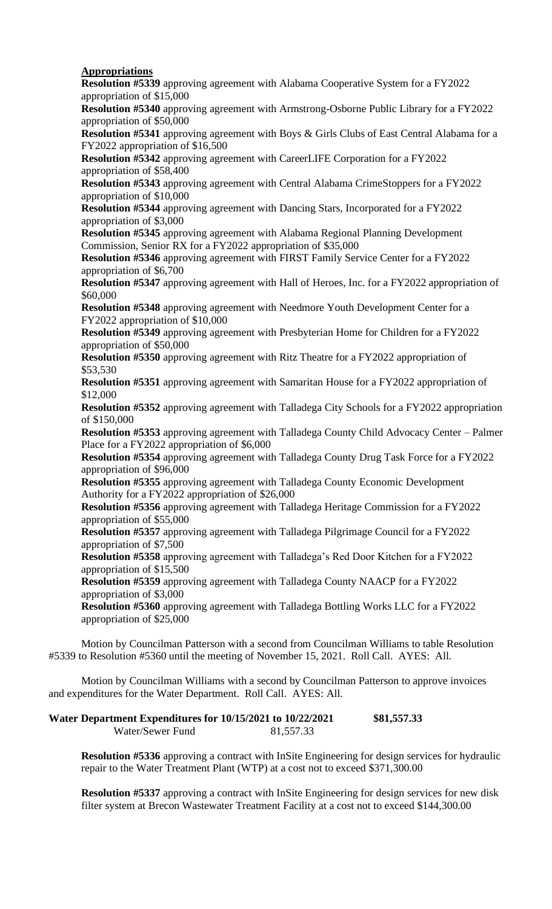## **Appropriations**

**Resolution #5339** approving agreement with Alabama Cooperative System for a FY2022 appropriation of \$15,000

**Resolution #5340** approving agreement with Armstrong-Osborne Public Library for a FY2022 appropriation of \$50,000

**Resolution #5341** approving agreement with Boys & Girls Clubs of East Central Alabama for a FY2022 appropriation of \$16,500

**Resolution #5342** approving agreement with CareerLIFE Corporation for a FY2022 appropriation of \$58,400

**Resolution #5343** approving agreement with Central Alabama CrimeStoppers for a FY2022 appropriation of \$10,000

**Resolution #5344** approving agreement with Dancing Stars, Incorporated for a FY2022 appropriation of \$3,000

**Resolution #5345** approving agreement with Alabama Regional Planning Development Commission, Senior RX for a FY2022 appropriation of \$35,000

**Resolution #5346** approving agreement with FIRST Family Service Center for a FY2022 appropriation of \$6,700

**Resolution #5347** approving agreement with Hall of Heroes, Inc. for a FY2022 appropriation of \$60,000

**Resolution #5348** approving agreement with Needmore Youth Development Center for a FY2022 appropriation of \$10,000

**Resolution #5349** approving agreement with Presbyterian Home for Children for a FY2022 appropriation of \$50,000

**Resolution #5350** approving agreement with Ritz Theatre for a FY2022 appropriation of \$53,530

**Resolution #5351** approving agreement with Samaritan House for a FY2022 appropriation of \$12,000

**Resolution #5352** approving agreement with Talladega City Schools for a FY2022 appropriation of \$150,000

**Resolution #5353** approving agreement with Talladega County Child Advocacy Center – Palmer Place for a FY2022 appropriation of \$6,000

**Resolution #5354** approving agreement with Talladega County Drug Task Force for a FY2022 appropriation of \$96,000

**Resolution #5355** approving agreement with Talladega County Economic Development Authority for a FY2022 appropriation of \$26,000

**Resolution #5356** approving agreement with Talladega Heritage Commission for a FY2022 appropriation of \$55,000

**Resolution #5357** approving agreement with Talladega Pilgrimage Council for a FY2022 appropriation of \$7,500

**Resolution #5358** approving agreement with Talladega's Red Door Kitchen for a FY2022 appropriation of \$15,500

**Resolution #5359** approving agreement with Talladega County NAACP for a FY2022 appropriation of \$3,000

**Resolution #5360** approving agreement with Talladega Bottling Works LLC for a FY2022 appropriation of \$25,000

Motion by Councilman Patterson with a second from Councilman Williams to table Resolution #5339 to Resolution #5360 until the meeting of November 15, 2021. Roll Call. AYES: All.

Motion by Councilman Williams with a second by Councilman Patterson to approve invoices and expenditures for the Water Department. Roll Call. AYES: All.

| Water Department Expenditures for 10/15/2021 to 10/22/2021 |           | \$81,557.33 |
|------------------------------------------------------------|-----------|-------------|
| Water/Sewer Fund                                           | 81,557.33 |             |

**Resolution #5336** approving a contract with InSite Engineering for design services for hydraulic repair to the Water Treatment Plant (WTP) at a cost not to exceed \$371,300.00

**Resolution #5337** approving a contract with InSite Engineering for design services for new disk filter system at Brecon Wastewater Treatment Facility at a cost not to exceed \$144,300.00